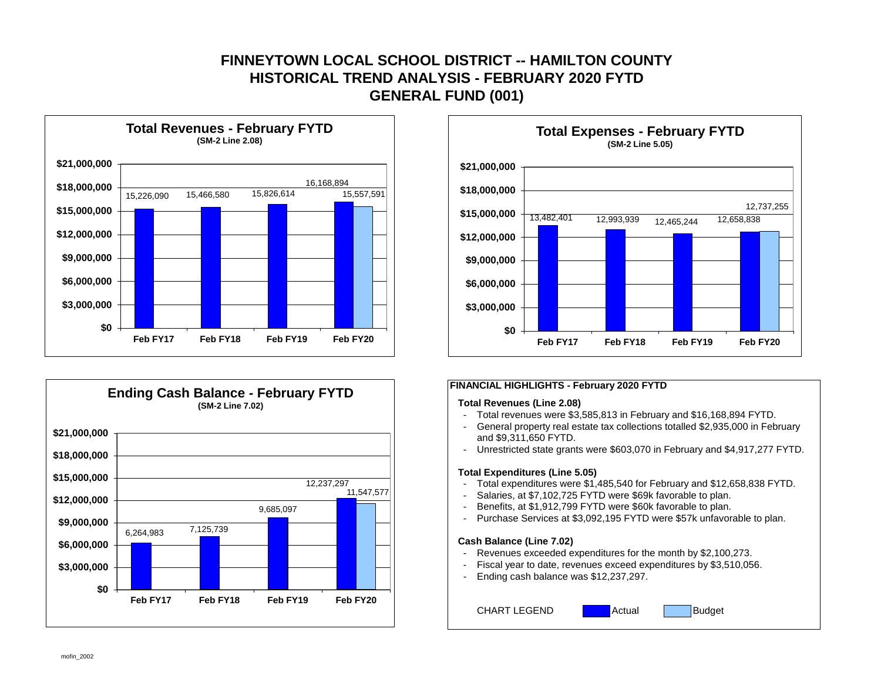# **FINNEYTOWN LOCAL SCHOOL DISTRICT -- HAMILTON COUNTY GENERAL FUND (001) HISTORICAL TREND ANALYSIS - FEBRUARY 2020 FYTD**







#### **FINANCIAL HIGHLIGHTS - February 2020 FYTD**

#### **Total Revenues (Line 2.08)**

- Total revenues were \$3,585,813 in February and \$16,168,894 FYTD.
- General property real estate tax collections totalled \$2,935,000 in February and \$9,311,650 FYTD.
- Unrestricted state grants were \$603,070 in February and \$4,917,277 FYTD.

#### **Total Expenditures (Line 5.05)**

- Total expenditures were \$1,485,540 for February and \$12,658,838 FYTD.
- Salaries, at \$7,102,725 FYTD were \$69k favorable to plan.
- Benefits, at \$1,912,799 FYTD were \$60k favorable to plan.
- Purchase Services at \$3,092,195 FYTD were \$57k unfavorable to plan.

#### **Cash Balance (Line 7.02)**

- Revenues exceeded expenditures for the month by \$2,100,273.
- Fiscal year to date, revenues exceed expenditures by \$3,510,056.
- Ending cash balance was \$12,237,297.

CHART LEGEND **Actual Budget** 

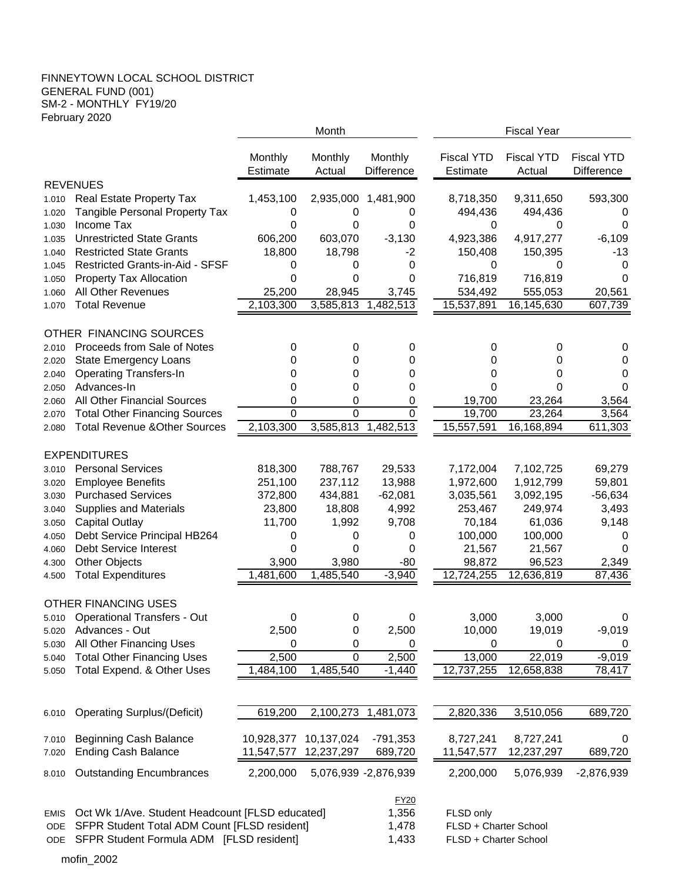### FINNEYTOWN LOCAL SCHOOL DISTRICT GENERAL FUND (001) SM-2 - MONTHLY FY19/20 February 2020

|                |                                                                   |                 | Month                 |                              | <b>Fiscal Year</b>   |                      |                   |  |  |
|----------------|-------------------------------------------------------------------|-----------------|-----------------------|------------------------------|----------------------|----------------------|-------------------|--|--|
|                |                                                                   |                 |                       |                              |                      |                      |                   |  |  |
|                |                                                                   | Monthly         | Monthly               | Monthly<br><b>Difference</b> | <b>Fiscal YTD</b>    | <b>Fiscal YTD</b>    | <b>Fiscal YTD</b> |  |  |
|                | <b>REVENUES</b>                                                   | <b>Estimate</b> | Actual                |                              | <b>Estimate</b>      | Actual               | <b>Difference</b> |  |  |
|                |                                                                   |                 |                       |                              |                      |                      |                   |  |  |
| 1.010          | <b>Real Estate Property Tax</b><br>Tangible Personal Property Tax | 1,453,100<br>0  | 2,935,000<br>0        | 1,481,900<br>0               | 8,718,350<br>494,436 | 9,311,650<br>494,436 | 593,300<br>0      |  |  |
| 1.020<br>1.030 | Income Tax                                                        | 0               | 0                     | 0                            | 0                    | 0                    | 0                 |  |  |
| 1.035          | <b>Unrestricted State Grants</b>                                  | 606,200         | 603,070               | $-3,130$                     | 4,923,386            | 4,917,277            | $-6,109$          |  |  |
| 1.040          | <b>Restricted State Grants</b>                                    | 18,800          | 18,798                | $-2$                         | 150,408              | 150,395              | $-13$             |  |  |
| 1.045          | Restricted Grants-in-Aid - SFSF                                   | 0               | 0                     | 0                            | 0                    | 0                    | 0                 |  |  |
| 1.050          | <b>Property Tax Allocation</b>                                    | 0               | 0                     | 0                            | 716,819              | 716,819              | 0                 |  |  |
| 1.060          | All Other Revenues                                                | 25,200          | 28,945                | 3,745                        | 534,492              | 555,053              | 20,561            |  |  |
| 1.070          | <b>Total Revenue</b>                                              | 2,103,300       | 3,585,813             | 1,482,513                    | 15,537,891           | 16,145,630           | 607,739           |  |  |
|                |                                                                   |                 |                       |                              |                      |                      |                   |  |  |
|                | OTHER FINANCING SOURCES                                           |                 |                       |                              |                      |                      |                   |  |  |
| 2.010          | Proceeds from Sale of Notes                                       | 0               | 0                     | 0                            | 0                    | 0                    | 0                 |  |  |
| 2.020          | <b>State Emergency Loans</b>                                      | 0               | 0                     | 0                            | 0                    | 0                    | 0                 |  |  |
| 2.040          | <b>Operating Transfers-In</b>                                     | 0               | 0                     | 0                            | 0                    | 0                    | 0                 |  |  |
| 2.050          | Advances-In                                                       | 0               | 0                     | 0                            | 0                    | 0                    | 0                 |  |  |
| 2.060          | All Other Financial Sources                                       | 0               | 0                     | 0                            | 19,700               | 23,264               | 3,564             |  |  |
| 2.070          | <b>Total Other Financing Sources</b>                              | $\Omega$        | $\Omega$              | $\Omega$                     | 19,700               | 23,264               | 3,564             |  |  |
| 2.080          | <b>Total Revenue &amp; Other Sources</b>                          | 2,103,300       | 3,585,813             | 1,482,513                    | 15,557,591           | 16,168,894           | 611,303           |  |  |
|                |                                                                   |                 |                       |                              |                      |                      |                   |  |  |
|                | <b>EXPENDITURES</b>                                               |                 |                       |                              |                      |                      |                   |  |  |
| 3.010          | <b>Personal Services</b>                                          | 818,300         | 788,767               | 29,533                       | 7,172,004            | 7,102,725            | 69,279            |  |  |
| 3.020          | <b>Employee Benefits</b>                                          | 251,100         | 237,112               | 13,988                       | 1,972,600            | 1,912,799            | 59,801            |  |  |
| 3.030          | <b>Purchased Services</b>                                         | 372,800         | 434,881               | $-62,081$                    | 3,035,561            | 3,092,195            | $-56,634$         |  |  |
| 3.040          | <b>Supplies and Materials</b>                                     | 23,800          | 18,808                | 4,992                        | 253,467              | 249,974              | 3,493             |  |  |
| 3.050          | <b>Capital Outlay</b>                                             | 11,700          | 1,992                 | 9,708                        | 70,184               | 61,036               | 9,148             |  |  |
| 4.050          | Debt Service Principal HB264                                      | 0               | 0                     | 0                            | 100,000              | 100,000              | 0                 |  |  |
| 4.060          | Debt Service Interest                                             | 0               | 0                     | 0                            | 21,567               | 21,567               | 0                 |  |  |
| 4.300          | <b>Other Objects</b>                                              | 3,900           | 3,980                 | $-80$                        | 98,872               | 96,523               | 2,349             |  |  |
| 4.500          | <b>Total Expenditures</b>                                         | 1,481,600       | 1,485,540             | $-3,940$                     | 12,724,255           | 12,636,819           | 87,436            |  |  |
|                |                                                                   |                 |                       |                              |                      |                      |                   |  |  |
|                | <b>OTHER FINANCING USES</b>                                       |                 |                       |                              |                      |                      |                   |  |  |
|                | 5.010 Operational Transfers - Out                                 | 0               | 0                     | 0                            | 3,000                | 3,000                | 0                 |  |  |
| 5.020          | Advances - Out                                                    | 2,500           | 0                     | 2,500                        | 10,000               | 19,019               | $-9,019$          |  |  |
| 5.030          | All Other Financing Uses                                          | 0               | 0                     | 0                            | 0                    | 0                    | 0                 |  |  |
| 5.040          | <b>Total Other Financing Uses</b>                                 | 2,500           | $\mathbf 0$           | 2,500                        | 13,000               | 22,019               | $-9,019$          |  |  |
| 5.050          | Total Expend. & Other Uses                                        | 1,484,100       | 1,485,540             | $-1,440$                     | 12,737,255           | 12,658,838           | 78,417            |  |  |
|                |                                                                   |                 |                       |                              |                      |                      |                   |  |  |
|                |                                                                   |                 |                       |                              |                      |                      |                   |  |  |
| 6.010          | <b>Operating Surplus/(Deficit)</b>                                | 619,200         | 2,100,273             | 1,481,073                    | 2,820,336            | 3,510,056            | 689,720           |  |  |
|                |                                                                   |                 |                       |                              |                      |                      |                   |  |  |
| 7.010          | <b>Beginning Cash Balance</b>                                     | 10,928,377      | 10,137,024            | $-791,353$                   | 8,727,241            | 8,727,241            | 0                 |  |  |
| 7.020          | <b>Ending Cash Balance</b>                                        | 11,547,577      | 12,237,297            | 689,720                      | 11,547,577           | 12,237,297           | 689,720           |  |  |
| 8.010          | <b>Outstanding Encumbrances</b>                                   | 2,200,000       |                       | 5,076,939 -2,876,939         | 2,200,000            | 5,076,939            | $-2,876,939$      |  |  |
|                |                                                                   |                 |                       | <b>FY20</b>                  |                      |                      |                   |  |  |
| <b>EMIS</b>    | Oct Wk 1/Ave. Student Headcount [FLSD educated]                   |                 |                       | 1,356                        | FLSD only            |                      |                   |  |  |
| ODE            | SFPR Student Total ADM Count [FLSD resident]                      | 1,478           | FLSD + Charter School |                              |                      |                      |                   |  |  |
| ODE            | SFPR Student Formula ADM [FLSD resident]                          | 1,433           |                       | FLSD + Charter School        |                      |                      |                   |  |  |